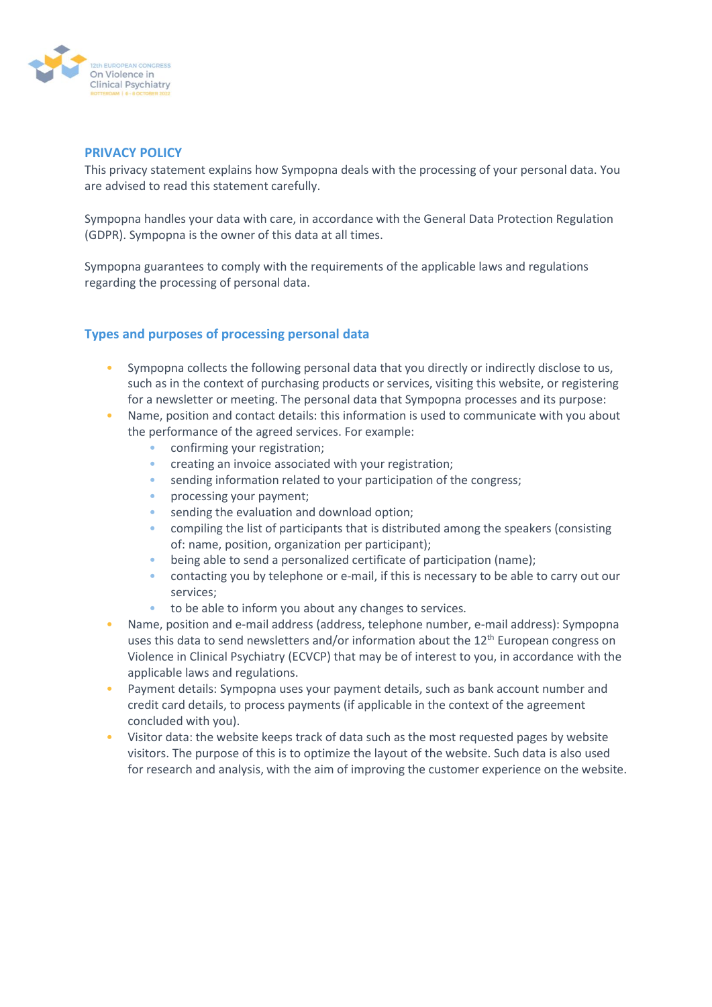

#### **PRIVACY POLICY**

This privacy statement explains how Sympopna deals with the processing of your personal data. You are advised to read this statement carefully.

Sympopna handles your data with care, in accordance with the General Data Protection Regulation (GDPR). Sympopna is the owner of this data at all times.

Sympopna guarantees to comply with the requirements of the applicable laws and regulations regarding the processing of personal data.

## **Types and purposes of processing personal data**

- Sympopna collects the following personal data that you directly or indirectly disclose to us, such as in the context of purchasing products or services, visiting this website, or registering for a newsletter or meeting. The personal data that Sympopna processes and its purpose:
- Name, position and contact details: this information is used to communicate with you about the performance of the agreed services. For example:
	- confirming your registration;
	- creating an invoice associated with your registration;
	- sending information related to your participation of the congress;
	- processing your payment;
	- sending the evaluation and download option;
	- compiling the list of participants that is distributed among the speakers (consisting of: name, position, organization per participant);
	- being able to send a personalized certificate of participation (name);
	- contacting you by telephone or e-mail, if this is necessary to be able to carry out our services;
	- to be able to inform you about any changes to services.
- Name, position and e-mail address (address, telephone number, e-mail address): Sympopna uses this data to send newsletters and/or information about the  $12<sup>th</sup>$  European congress on Violence in Clinical Psychiatry (ECVCP) that may be of interest to you, in accordance with the applicable laws and regulations.
- Payment details: Sympopna uses your payment details, such as bank account number and credit card details, to process payments (if applicable in the context of the agreement concluded with you).
- Visitor data: the website keeps track of data such as the most requested pages by website visitors. The purpose of this is to optimize the layout of the website. Such data is also used for research and analysis, with the aim of improving the customer experience on the website.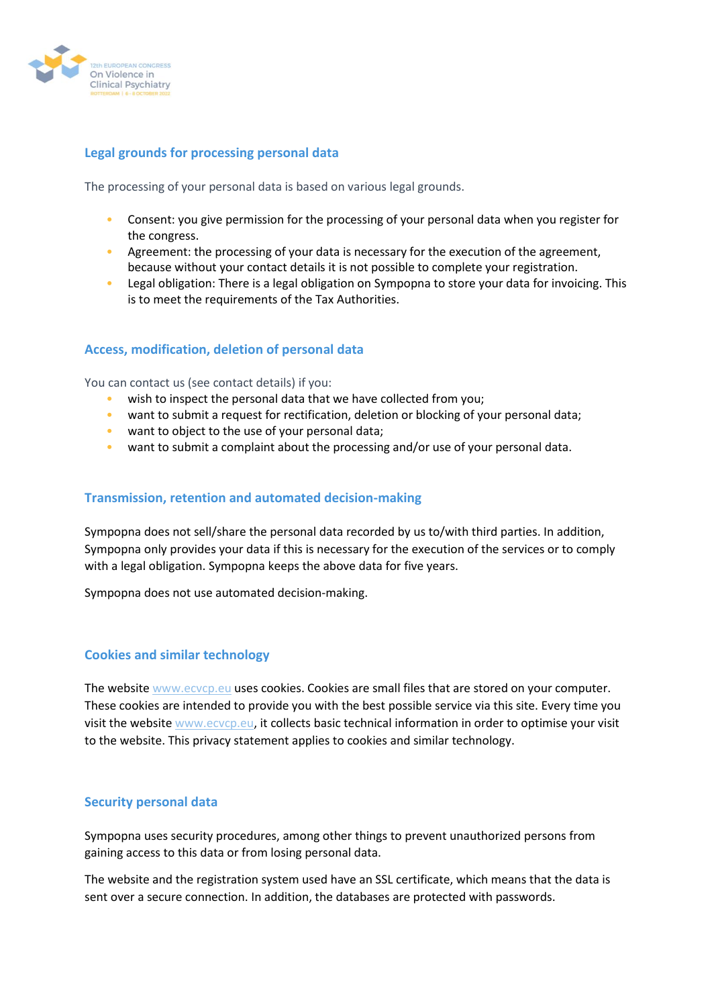

## **Legal grounds for processing personal data**

The processing of your personal data is based on various legal grounds.

- Consent: you give permission for the processing of your personal data when you register for the congress.
- Agreement: the processing of your data is necessary for the execution of the agreement, because without your contact details it is not possible to complete your registration.
- Legal obligation: There is a legal obligation on Sympopna to store your data for invoicing. This is to meet the requirements of the Tax Authorities.

## **Access, modification, deletion of personal data**

You can contact us (see contact details) if you:

- wish to inspect the personal data that we have collected from you;
- want to submit a request for rectification, deletion or blocking of your personal data;
- want to object to the use of your personal data;
- want to submit a complaint about the processing and/or use of your personal data.

#### **Transmission, retention and automated decision-making**

Sympopna does not sell/share the personal data recorded by us to/with third parties. In addition, Sympopna only provides your data if this is necessary for the execution of the services or to comply with a legal obligation. Sympopna keeps the above data for five years.

Sympopna does not use automated decision-making.

### **Cookies and similar technology**

The website [www.ecvcp.eu](http://www.ecvcp.eu/) uses cookies. Cookies are small files that are stored on your computer. These cookies are intended to provide you with the best possible service via this site. Every time you visit the website [www.ecvcp.eu,](http://www.ecvcp.eu/) it collects basic technical information in order to optimise your visit to the website. This privacy statement applies to cookies and similar technology.

#### **Security personal data**

Sympopna uses security procedures, among other things to prevent unauthorized persons from gaining access to this data or from losing personal data.

The website and the registration system used have an SSL certificate, which means that the data is sent over a secure connection. In addition, the databases are protected with passwords.